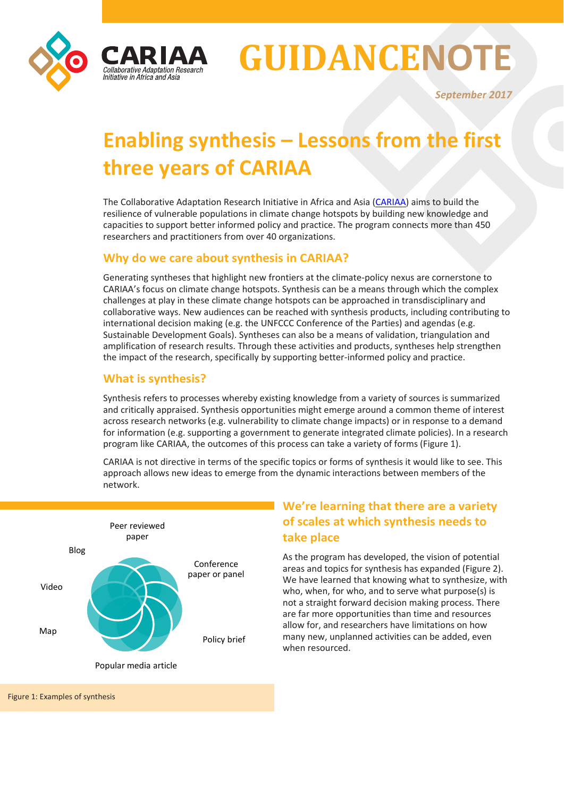

# **GUIDANCENOTE**

*September 2017*

# **Enabling synthesis – Lessons from the first three years of CARIAA**

The Collaborative Adaptation Research Initiative in Africa and Asia [\(CARIAA\)](http://cariaa.net/) aims to build the resilience of vulnerable populations in climate change hotspots by building new knowledge and capacities to support better informed policy and practice. The program connects more than 450 researchers and practitioners from over 40 organizations.

### **Why do we care about synthesis in CARIAA?**

Generating syntheses that highlight new frontiers at the climate-policy nexus are cornerstone to CARIAA's focus on climate change hotspots. Synthesis can be a means through which the complex challenges at play in these climate change hotspots can be approached in transdisciplinary and collaborative ways. New audiences can be reached with synthesis products, including contributing to international decision making (e.g. the UNFCCC Conference of the Parties) and agendas (e.g. Sustainable Development Goals). Syntheses can also be a means of validation, triangulation and amplification of research results. Through these activities and products, syntheses help strengthen the impact of the research, specifically by supporting better-informed policy and practice.

# **What is synthesis?**

Synthesis refers to processes whereby existing knowledge from a variety of sources is summarized and critically appraised. Synthesis opportunities might emerge around a common theme of interest across research networks (e.g. vulnerability to climate change impacts) or in response to a demand for information (e.g. supporting a government to generate integrated climate policies). In a research program like CARIAA, the outcomes of this process can take a variety of forms (Figure 1).

CARIAA is not directive in terms of the specific topics or forms of synthesis it would like to see. This approach allows new ideas to emerge from the dynamic interactions between members of the network.



# **We're learning that there are a variety of scales at which synthesis needs to take place**

As the program has developed, the vision of potential areas and topics for synthesis has expanded (Figure 2). We have learned that knowing what to synthesize, with who, when, for who, and to serve what purpose(s) is not a straight forward decision making process. There are far more opportunities than time and resources allow for, and researchers have limitations on how many new, unplanned activities can be added, even when resourced.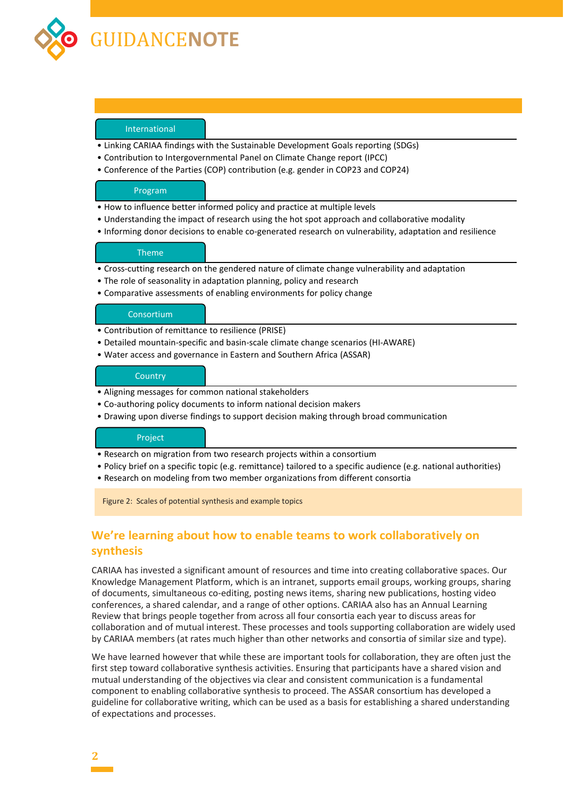

#### International

- Linking CARIAA findings with the Sustainable Development Goals reporting (SDGs)
- Contribution to Intergovernmental Panel on Climate Change report (IPCC)
- Conference of the Parties (COP) contribution (e.g. gender in COP23 and COP24)

#### Program

- How to influence better informed policy and practice at multiple levels
- Understanding the impact of research using the hot spot approach and collaborative modality
- Informing donor decisions to enable co-generated research on vulnerability, adaptation and resilience

#### Theme

- Cross-cutting research on the gendered nature of climate change vulnerability and adaptation
- The role of seasonality in adaptation planning, policy and research
- Comparative assessments of enabling environments for policy change

#### Consortium

- Contribution of remittance to resilience (PRISE)
- Detailed mountain-specific and basin-scale climate change scenarios (HI-AWARE)
- Water access and governance in Eastern and Southern Africa (ASSAR)

#### **Country**

- Aligning messages for common national stakeholders
- Co-authoring policy documents to inform national decision makers
- Drawing upon diverse findings to support decision making through broad communication

#### Project

- Research on migration from two research projects within a consortium
- Policy brief on a specific topic (e.g. remittance) tailored to a specific audience (e.g. national authorities)
- Research on modeling from two member organizations from different consortia

Figure 2: Scales of potential synthesis and example topics

# **We're learning about how to enable teams to work collaboratively on synthesis**

CARIAA has invested a significant amount of resources and time into creating collaborative spaces. Our Knowledge Management Platform, which is an intranet, supports email groups, working groups, sharing of documents, simultaneous co-editing, posting news items, sharing new publications, hosting video conferences, a shared calendar, and a range of other options. CARIAA also has an Annual Learning Review that brings people together from across all four consortia each year to discuss areas for collaboration and of mutual interest. These processes and tools supporting collaboration are widely used by CARIAA members (at rates much higher than other networks and consortia of similar size and type).

We have learned however that while these are important tools for collaboration, they are often just the first step toward collaborative synthesis activities. Ensuring that participants have a shared vision and mutual understanding of the objectives via clear and consistent communication is a fundamental component to enabling collaborative synthesis to proceed. The ASSAR consortium has developed a guideline for collaborative writing, which can be used as a basis for establishing a shared understanding of expectations and processes.